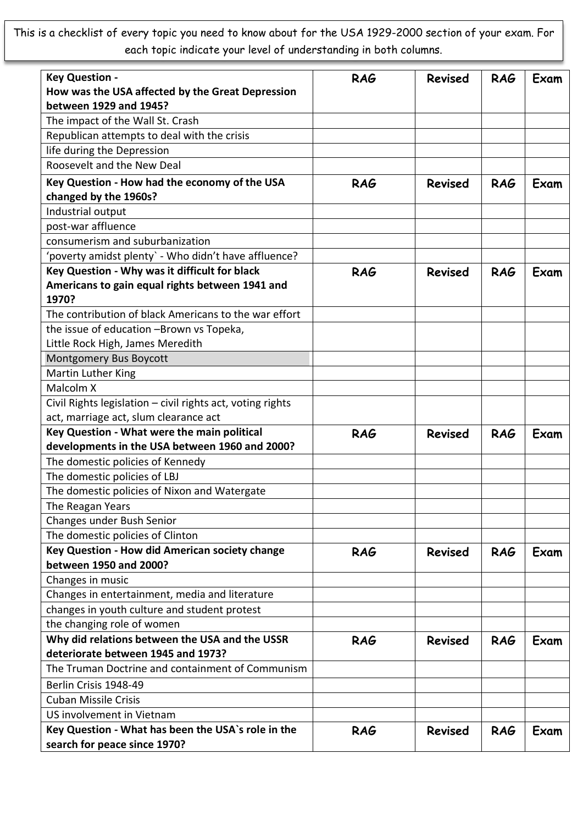This is a checklist of every topic you need to know about for the USA 1929-2000 section of your exam. For each topic indicate your level of understanding in both columns.

| <b>Key Question -</b><br>How was the USA affected by the Great Depression          | <b>RAG</b> | <b>Revised</b> | <b>RAG</b> | Exam |
|------------------------------------------------------------------------------------|------------|----------------|------------|------|
| between 1929 and 1945?                                                             |            |                |            |      |
| The impact of the Wall St. Crash                                                   |            |                |            |      |
| Republican attempts to deal with the crisis                                        |            |                |            |      |
| life during the Depression                                                         |            |                |            |      |
| Roosevelt and the New Deal                                                         |            |                |            |      |
| Key Question - How had the economy of the USA                                      | <b>RAG</b> | <b>Revised</b> | <b>RAG</b> | Exam |
| changed by the 1960s?                                                              |            |                |            |      |
| Industrial output                                                                  |            |                |            |      |
| post-war affluence                                                                 |            |                |            |      |
| consumerism and suburbanization                                                    |            |                |            |      |
| 'poverty amidst plenty` - Who didn't have affluence?                               |            |                |            |      |
| Key Question - Why was it difficult for black                                      | <b>RAG</b> | <b>Revised</b> | <b>RAG</b> | Exam |
| Americans to gain equal rights between 1941 and                                    |            |                |            |      |
| 1970?                                                                              |            |                |            |      |
| The contribution of black Americans to the war effort                              |            |                |            |      |
| the issue of education -Brown vs Topeka,                                           |            |                |            |      |
| Little Rock High, James Meredith                                                   |            |                |            |      |
| Montgomery Bus Boycott                                                             |            |                |            |      |
| Martin Luther King                                                                 |            |                |            |      |
| Malcolm X                                                                          |            |                |            |      |
| Civil Rights legislation - civil rights act, voting rights                         |            |                |            |      |
| act, marriage act, slum clearance act                                              |            |                |            |      |
| Key Question - What were the main political                                        | <b>RAG</b> | <b>Revised</b> | <b>RAG</b> | Exam |
| developments in the USA between 1960 and 2000?                                     |            |                |            |      |
| The domestic policies of Kennedy                                                   |            |                |            |      |
| The domestic policies of LBJ                                                       |            |                |            |      |
| The domestic policies of Nixon and Watergate                                       |            |                |            |      |
| The Reagan Years                                                                   |            |                |            |      |
| Changes under Bush Senior                                                          |            |                |            |      |
| The domestic policies of Clinton                                                   |            |                |            |      |
| Key Question - How did American society change                                     | <b>RAG</b> | <b>Revised</b> | <b>RAG</b> | Exam |
| between 1950 and 2000?                                                             |            |                |            |      |
| Changes in music                                                                   |            |                |            |      |
| Changes in entertainment, media and literature                                     |            |                |            |      |
| changes in youth culture and student protest                                       |            |                |            |      |
| the changing role of women                                                         |            |                |            |      |
| Why did relations between the USA and the USSR                                     | <b>RAG</b> | <b>Revised</b> | <b>RAG</b> | Exam |
| deteriorate between 1945 and 1973?                                                 |            |                |            |      |
| The Truman Doctrine and containment of Communism                                   |            |                |            |      |
| Berlin Crisis 1948-49                                                              |            |                |            |      |
| <b>Cuban Missile Crisis</b>                                                        |            |                |            |      |
| US involvement in Vietnam                                                          |            |                |            |      |
| Key Question - What has been the USA's role in the<br>search for peace since 1970? | <b>RAG</b> | <b>Revised</b> | <b>RAG</b> | Exam |